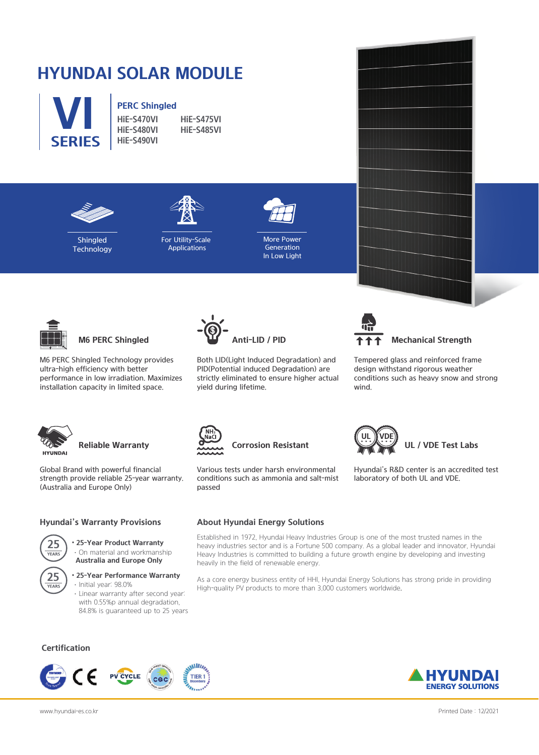## **HYUNDAI SOLAR MODULE**



# **PERC Shingled**<br>HiF-S470VI

**HiE-S470VI HiE-S475VI HiE-S480VI HiE-S485VI SERIES HiE-S490VI**





**Shingled Technology** 





More Power Generation In Low Light



**M6 PERC Shingled**

M6 PERC Shingled Technology provides ultra-high efficiency with better performance in low irradiation. Maximizes installation capacity in limited space.



Both LID(Light Induced Degradation) and PID(Potential induced Degradation) are strictly eliminated to ensure higher actual yield during lifetime.



**Mechanical Strength**

Tempered glass and reinforced frame design withstand rigorous weather conditions such as heavy snow and strong wind.

Hyundai's R&D center is an accredited test

**UL / VDE Test Labs**

laboratory of both UL and VDE.



### **Reliable Warranty**

Global Brand with powerful financial strength provide reliable 25-year warranty. (Australia and Europe Only)

#### **Hyundai's Warranty Provisions**

• **25-Year Product Warranty** ·On material and workmanship **25 Australia and Europe Only**



#### • **25-Year Performance Warranty**

·Initial year: 98.0% ·Linear warranty after second year: with 0.55%p annual degradation, 84.8% is guaranteed up to 25 years

#### **Certification**







### **Corrosion Resistant**

Various tests under harsh environmental conditions such as ammonia and salt-mist passed

#### **About Hyundai Energy Solutions**

Established in 1972, Hyundai Heavy Industries Group is one of the most trusted names in the heavy industries sector and is a Fortune 500 company. As a global leader and innovator, Hyundai Heavy Industries is committed to building a future growth engine by developing and investing heavily in the field of renewable energy.

As a core energy business entity of HHI, Hyundai Energy Solutions has strong pride in providing High-quality PV products to more than 3,000 customers worldwide.